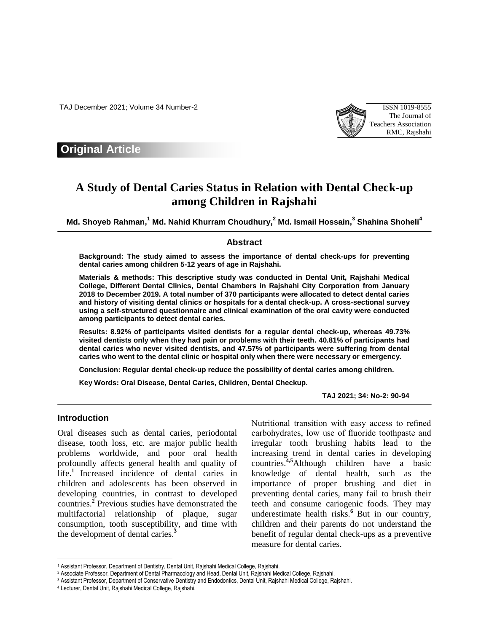TAJ December 2021; Volume 34 Number-2 ISSN 1019-8555



## **Original Article**

# **A Study of Dental Caries Status in Relation with Dental Check-up among Children in Rajshahi**

**Md. Shoyeb Rahman, <sup>1</sup> Md. Nahid Khurram Choudhury, <sup>2</sup> Md. Ismail Hossain, 3 Shahina Shoheli<sup>4</sup>**

#### **Abstract**

**Background: The study aimed to assess the importance of dental check-ups for preventing dental caries among children 5-12 years of age in Rajshahi.**

**Materials & methods: This descriptive study was conducted in Dental Unit, Rajshahi Medical College, Different Dental Clinics, Dental Chambers in Rajshahi City Corporation from January 2018 to December 2019. A total number of 370 participants were allocated to detect dental caries and history of visiting dental clinics or hospitals for a dental check-up. A cross-sectional survey using a self-structured questionnaire and clinical examination of the oral cavity were conducted among participants to detect dental caries.** 

**Results: 8.92% of participants visited dentists for a regular dental check-up, whereas 49.73% visited dentists only when they had pain or problems with their teeth. 40.81% of participants had dental caries who never visited dentists, and 47.57% of participants were suffering from dental caries who went to the dental clinic or hospital only when there were necessary or emergency.** 

**Conclusion: Regular dental check-up reduce the possibility of dental caries among children.**

**Key Words: Oral Disease, Dental Caries, Children, Dental Checkup.**

**TAJ 2021; 34: No-2: 90-94**

#### **Introduction**

 $\overline{a}$ 

Oral diseases such as dental caries, periodontal disease, tooth loss, etc. are major public health problems worldwide, and poor oral health profoundly affects general health and quality of life.<sup>1</sup> Increased incidence of dental caries in children and adolescents has been observed in developing countries, in contrast to developed countries.**<sup>2</sup>** Previous studies have demonstrated the multifactorial relationship of plaque, sugar consumption, tooth susceptibility, and time with the development of dental caries.**<sup>3</sup>**

Nutritional transition with easy access to refined carbohydrates, low use of fluoride toothpaste and irregular tooth brushing habits lead to the increasing trend in dental caries in developing countries.**4,5**Although children have a basic knowledge of dental health, such as the importance of proper brushing and diet in preventing dental caries, many fail to brush their teeth and consume cariogenic foods. They may underestimate health risks.<sup>6</sup> But in our country, children and their parents do not understand the benefit of regular dental check-ups as a preventive measure for dental caries.

<sup>1</sup> Assistant Professor, Department of Dentistry, Dental Unit, Rajshahi Medical College, Rajshahi.

<sup>2</sup> Associate Professor, Department of Dental Pharmacology and Head, Dental Unit, Rajshahi Medical College, Rajshahi.

<sup>3</sup> Assistant Professor, Department of Conservative Dentistry and Endodontics, Dental Unit, Rajshahi Medical College, Rajshahi.

<sup>4</sup> Lecturer, Dental Unit, Rajshahi Medical College, Rajshahi.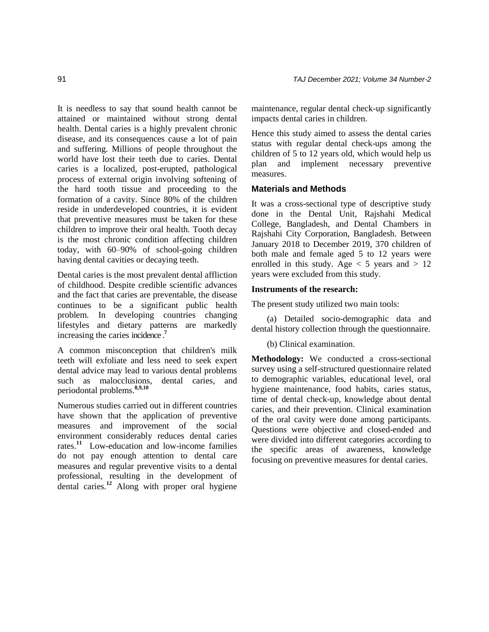It is needless to say that sound health cannot be attained or maintained without strong dental health. Dental caries is a highly prevalent chronic disease, and its consequences cause a lot of pain and suffering. Millions of people throughout the world have lost their teeth due to caries. Dental caries is a localized, post-erupted, pathological process of external origin involving softening of the hard tooth tissue and proceeding to the formation of a cavity. Since 80% of the children reside in underdeveloped countries, it is evident that preventive measures must be taken for these children to improve their oral health. Tooth decay is the most chronic condition affecting children today, with 60–90% of school-going children having dental cavities or decaying teeth.

Dental caries is the most prevalent dental affliction of childhood. Despite credible scientific advances and the fact that caries are preventable, the disease continues to be a significant public health problem. In developing countries changing lifestyles and dietary patterns are markedly increasing the caries incidence .**<sup>7</sup>**

A common misconception that children's milk teeth will exfoliate and less need to seek expert dental advice may lead to various dental problems such as malocclusions, dental caries, and periodontal problems.**8,9,10**

Numerous studies carried out in different countries have shown that the application of preventive measures and improvement of the social environment considerably reduces dental caries rates.**<sup>11</sup>** Low-education and low-income families do not pay enough attention to dental care measures and regular preventive visits to a dental professional, resulting in the development of dental caries.**<sup>12</sup>** Along with proper oral hygiene

maintenance, regular dental check-up significantly impacts dental caries in children.

Hence this study aimed to assess the dental caries status with regular dental check-ups among the children of 5 to 12 years old, which would help us plan and implement necessary preventive measures.

#### **Materials and Methods**

It was a cross-sectional type of descriptive study done in the Dental Unit, Rajshahi Medical College, Bangladesh, and Dental Chambers in Rajshahi City Corporation, Bangladesh. Between January 2018 to December 2019, 370 children of both male and female aged 5 to 12 years were enrolled in this study. Age  $\lt$  5 years and  $> 12$ years were excluded from this study.

#### **Instruments of the research:**

The present study utilized two main tools:

 (a) Detailed socio-demographic data and dental history collection through the questionnaire.

(b) Clinical examination.

**Methodology:** We conducted a cross-sectional survey using a self-structured questionnaire related to demographic variables, educational level, oral hygiene maintenance, food habits, caries status, time of dental check-up, knowledge about dental caries, and their prevention. Clinical examination of the oral cavity were done among participants. Questions were objective and closed-ended and were divided into different categories according to the specific areas of awareness, knowledge focusing on preventive measures for dental caries.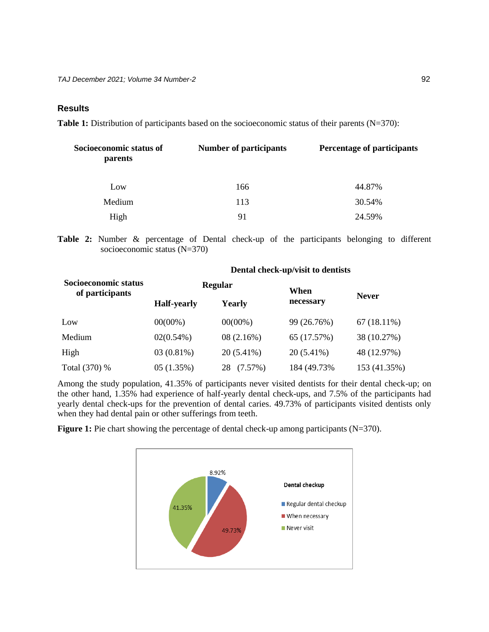#### **Results**

**Table 1:** Distribution of participants based on the socioeconomic status of their parents (N=370):

| Socioeconomic status of<br>parents | <b>Number of participants</b> | <b>Percentage of participants</b> |  |
|------------------------------------|-------------------------------|-----------------------------------|--|
| Low                                | 166                           | 44.87%                            |  |
| Medium                             | 113                           | 30.54%                            |  |
| High                               | 91                            | 24.59%                            |  |
|                                    |                               |                                   |  |

**Table 2:** Number & percentage of Dental check-up of the participants belonging to different socioeconomic status (N=370)

| Socioeconomic status<br>of participants | <b>Regular</b>     |               | When         |               |
|-----------------------------------------|--------------------|---------------|--------------|---------------|
|                                         | <b>Half-yearly</b> | Yearly        | necessary    | <b>Never</b>  |
| Low                                     | $00(00\%)$         | $00(00\%)$    | 99 (26.76%)  | $67(18.11\%)$ |
| Medium                                  | $02(0.54\%)$       | 08(2.16%)     | 65 (17.57%)  | 38 (10.27%)   |
| High                                    | $03(0.81\%)$       | $20(5.41\%)$  | $20(5.41\%)$ | 48 (12.97%)   |
| Total (370) %                           | 05(1.35%)          | (7.57%)<br>28 | 184 (49.73%) | 153 (41.35%)  |

#### **Dental check-up/visit to dentists**

Among the study population, 41.35% of participants never visited dentists for their dental check-up; on the other hand, 1.35% had experience of half-yearly dental check-ups, and 7.5% of the participants had yearly dental check-ups for the prevention of dental caries. 49.73% of participants visited dentists only when they had dental pain or other sufferings from teeth.

**Figure 1:** Pie chart showing the percentage of dental check-up among participants (N=370).

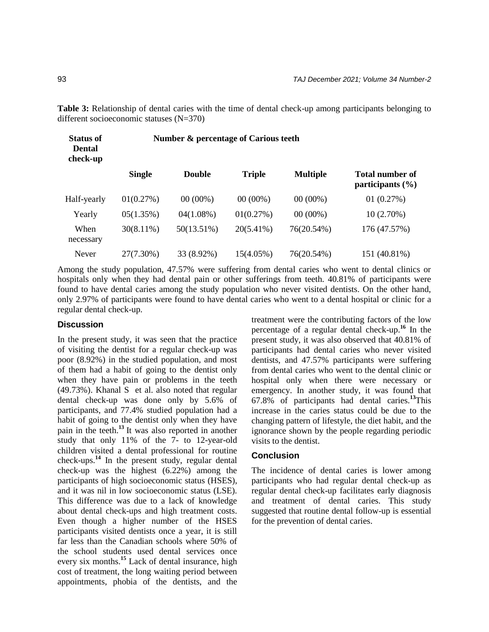**Table 3:** Relationship of dental caries with the time of dental check-up among participants belonging to different socioeconomic statuses (N=370)

| <b>Status of</b><br><b>Dental</b><br>check-up | Number & percentage of Carious teeth |               |               |                 |                                                |  |
|-----------------------------------------------|--------------------------------------|---------------|---------------|-----------------|------------------------------------------------|--|
|                                               | <b>Single</b>                        | <b>Double</b> | <b>Triple</b> | <b>Multiple</b> | <b>Total number of</b><br>participants $(\% )$ |  |
| Half-yearly                                   | 01(0.27%)                            | $00(00\%)$    | $00(00\%)$    | $00(00\%)$      | 01(0.27%)                                      |  |
| Yearly                                        | 05(1.35%)                            | $04(1.08\%)$  | 01(0.27%)     | $00(00\%)$      | 10(2.70%)                                      |  |
| When<br>necessary                             | $30(8.11\%)$                         | 50(13.51%)    | $20(5.41\%)$  | 76(20.54%)      | 176 (47.57%)                                   |  |
| Never                                         | 27(7.30%)                            | 33 (8.92%)    | $15(4.05\%)$  | 76(20.54%)      | 151 (40.81%)                                   |  |

Among the study population, 47.57% were suffering from dental caries who went to dental clinics or hospitals only when they had dental pain or other sufferings from teeth. 40.81% of participants were found to have dental caries among the study population who never visited dentists. On the other hand, only 2.97% of participants were found to have dental caries who went to a dental hospital or clinic for a regular dental check-up.

### **Discussion**

In the present study, it was seen that the practice of visiting the dentist for a regular check-up was poor (8.92%) in the studied population, and most of them had a habit of going to the dentist only when they have pain or problems in the teeth (49.73%). Khanal S et al. also noted that regular dental check-up was done only by 5.6% of participants, and 77.4% studied population had a habit of going to the dentist only when they have pain in the teeth.**<sup>13</sup>**It was also reported in another study that only 11% of the 7- to 12-year-old children visited a dental professional for routine check-ups.**<sup>14</sup>** In the present study, regular dental check-up was the highest (6.22%) among the participants of high socioeconomic status (HSES), and it was nil in low socioeconomic status (LSE). This difference was due to a lack of knowledge about dental check-ups and high treatment costs. Even though a higher number of the HSES participants visited dentists once a year, it is still far less than the Canadian schools where 50% of the school students used dental services once every six months.**<sup>15</sup>** Lack of dental insurance, high cost of treatment, the long waiting period between appointments, phobia of the dentists, and the treatment were the contributing factors of the low percentage of a regular dental check-up.**<sup>16</sup>** In the present study, it was also observed that 40.81% of participants had dental caries who never visited dentists, and 47.57% participants were suffering from dental caries who went to the dental clinic or hospital only when there were necessary or emergency. In another study, it was found that 67.8% of participants had dental caries.**<sup>13</sup>**This increase in the caries status could be due to the changing pattern of lifestyle, the diet habit, and the ignorance shown by the people regarding periodic visits to the dentist.

#### **Conclusion**

The incidence of dental caries is lower among participants who had regular dental check-up as regular dental check-up facilitates early diagnosis and treatment of dental caries. This study suggested that routine dental follow-up is essential for the prevention of dental caries.